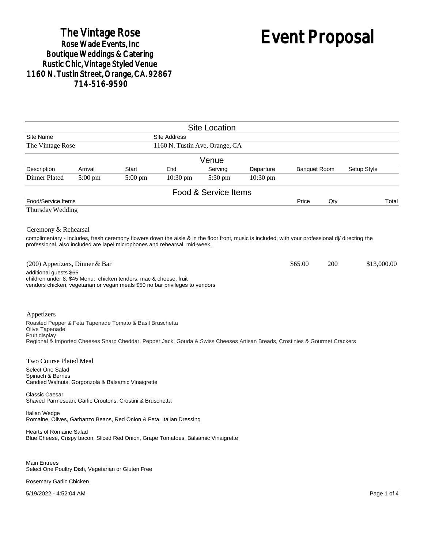## The Vintage Rose<br>Rose Wade Events, Inc Boutique Weddings & Catering<br>Rustic Chic, Vintage Styled Venue 1160 N. Tustin Street, Orange, CA. 92867 714-516-9590

# Event Proposal

|                                                                                                                                                                                                                                                         |                                |           |                     | <b>Site Location</b> |            |                                    |     |             |
|---------------------------------------------------------------------------------------------------------------------------------------------------------------------------------------------------------------------------------------------------------|--------------------------------|-----------|---------------------|----------------------|------------|------------------------------------|-----|-------------|
| Site Name                                                                                                                                                                                                                                               |                                |           | <b>Site Address</b> |                      |            |                                    |     |             |
| The Vintage Rose                                                                                                                                                                                                                                        | 1160 N. Tustin Ave, Orange, CA |           |                     |                      |            |                                    |     |             |
|                                                                                                                                                                                                                                                         |                                |           |                     | Venue                |            |                                    |     |             |
| Description                                                                                                                                                                                                                                             | Arrival                        | Start     | End                 | Serving              | Departure  | <b>Banquet Room</b><br>Setup Style |     |             |
| Dinner Plated                                                                                                                                                                                                                                           | $5:00$ pm                      | $5:00$ pm | $10:30$ pm          | 5:30 pm              | $10:30$ pm |                                    |     |             |
|                                                                                                                                                                                                                                                         |                                |           |                     | Food & Service Items |            |                                    |     |             |
| Food/Service Items                                                                                                                                                                                                                                      |                                |           |                     |                      |            | Price                              | Qty | Total       |
| Thursday Wedding                                                                                                                                                                                                                                        |                                |           |                     |                      |            |                                    |     |             |
| Ceremony & Rehearsal<br>complimentary - Includes, fresh ceremony flowers down the aisle & in the floor front, music is included, with your professional di/ directing the<br>professional, also included are lapel microphones and rehearsal, mid-week. |                                |           |                     |                      |            |                                    |     |             |
| (200) Appetizers, Dinner & Bar<br>additional guests \$65<br>children under 8; \$45 Menu: chicken tenders, mac & cheese, fruit<br>vendors chicken, vegetarian or vegan meals \$50 no bar privileges to vendors                                           |                                |           |                     |                      |            | \$65.00                            | 200 | \$13,000.00 |
| Appetizers<br>Roasted Pepper & Feta Tapenade Tomato & Basil Bruschetta<br>Olive Tapenade<br>Fruit display<br>Regional & Imported Cheeses Sharp Cheddar, Pepper Jack, Gouda & Swiss Cheeses Artisan Breads, Crostinies & Gourmet Crackers                |                                |           |                     |                      |            |                                    |     |             |
| Two Course Plated Meal<br>Select One Salad<br>Spinach & Berries<br>Candied Walnuts, Gorgonzola & Balsamic Vinaigrette                                                                                                                                   |                                |           |                     |                      |            |                                    |     |             |
| <b>Classic Caesar</b><br>Shaved Parmesean, Garlic Croutons, Crostini & Bruschetta                                                                                                                                                                       |                                |           |                     |                      |            |                                    |     |             |
| Italian Wedge<br>Romaine, Olives, Garbanzo Beans, Red Onion & Feta, Italian Dressing                                                                                                                                                                    |                                |           |                     |                      |            |                                    |     |             |
| Hearts of Romaine Salad<br>Blue Cheese, Crispy bacon, Sliced Red Onion, Grape Tomatoes, Balsamic Vinaigrette                                                                                                                                            |                                |           |                     |                      |            |                                    |     |             |
| <b>Main Entrees</b><br>Select One Poultry Dish, Vegetarian or Gluten Free<br>Rosemary Garlic Chicken                                                                                                                                                    |                                |           |                     |                      |            |                                    |     |             |

5/19/2022 - 4:52:04 AM Page 1 of 4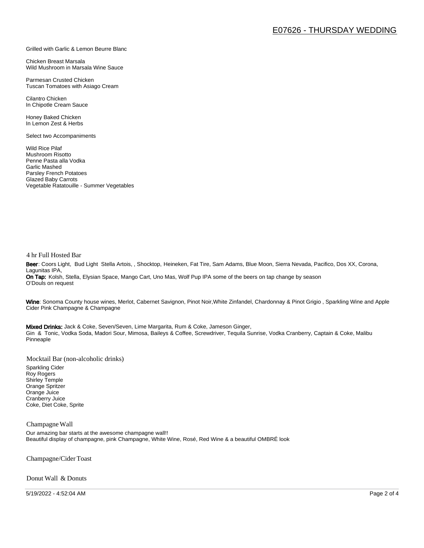#### Grilled with Garlic & Lemon Beurre Blanc

Chicken Breast Marsala Wild Mushroom in Marsala Wine Sauce

Parmesan Crusted Chicken Tuscan Tomatoes with Asiago Cream

Cilantro Chicken In Chipotle Cream Sauce

Honey Baked Chicken In Lemon Zest & Herbs

Select two Accompaniments

Wild Rice Pilaf Mushroom Risotto Penne Pasta alla Vodka Garlic Mashed Parsley French Potatoes Glazed Baby Carrots Vegetable Ratatouille - Summer Vegetables

#### 4 hr Full Hosted Bar

Beer: Coors Light, Bud Light Stella Artois, , Shocktop, Heineken, Fat Tire, Sam Adams, Blue Moon, Sierra Nevada, Pacifico, Dos XX, Corona, Lagunitas IPA, On Tap: Kolsh, Stella, Elysian Space, Mango Cart, Uno Mas, Wolf Pup IPA some of the beers on tap change by season O'Douls on request

Wine: Sonoma County house wines, Merlot, Cabernet Savignon, Pinot Noir, White Zinfandel, Chardonnay & Pinot Grigio, Sparkling Wine and Apple Cider Pink Champagne & Champagne

Mixed Drinks: Jack & Coke, Seven/Seven, Lime Margarita, Rum & Coke, Jameson Ginger, Gin & Tonic, Vodka Soda, Madori Sour, Mimosa, Baileys & Coffee, Screwdriver, Tequila Sunrise, Vodka Cranberry, Captain & Coke, Malibu Pinneaple

Mocktail Bar (non-alcoholic drinks)

Sparkling Cider Roy Rogers Shirley Temple Orange Spritzer Orange Juice Cranberry Juice Coke, Diet Coke, Sprite

#### Champagne Wall

Our amazing bar starts at the awesome champagne wall!! Beautiful display of champagne, pink Champagne, White Wine, Rosé, Red Wine & a beautiful OMBRÉ look

Champagne/Cider Toast

Donut Wall & Donuts

5/19/2022 - 4:52:04 AM Page 2 of 4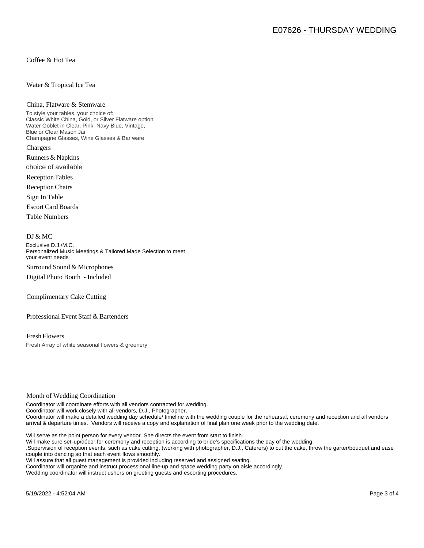Coffee & Hot Tea

#### Water & Tropical Ice Tea

#### China, Flatware & Stemware

To style your tables, your choice of: Classic White China, Gold, or Silver Flatware option Water Goblet in Clear, Pink, Navy Blue, Vintage, Blue or Clear Mason Jar Champagne Glasses, Wine Glasses & Bar ware Chargers

Runners & Napkins choice of available

Reception Tables

Reception Chairs

Sign In Table

Escort Card Boards

Table Numbers

#### DJ & MC

Exclusive D.J./M.C. Personalized Music Meetings & Tailored Made Selection to meet your event needs Surround Sound & Microphones

Digital Photo Booth - Included

Complimentary Cake Cutting

Professional Event Staff & Bartenders

Fresh Flowers Fresh Array of white seasonal flowers & greenery

#### Month of Wedding Coordination

Coordinator will coordinate efforts with all vendors contracted for wedding. Coordinator will work closely with all vendors, D.J., Photographer, Coordinator will make a detailed wedding day schedule/ timeline with the wedding couple for the rehearsal, ceremony and reception and all vendors arrival & departure times. Vendors will receive a copy and explanation of final plan one week prior to the wedding date.

Will serve as the point person for every vendor. She directs the event from start to finish.

Will make sure set-up/décor for ceremony and reception is according to bride's specifications the day of the wedding.

.Supervision of reception events, such as cake cutting, (working with photographer, D.J., Caterers) to cut the cake, throw the garter/bouquet and ease couple into dancing so that each event flows smoothly.

Will assure that all guest management is provided including reserved and assigned seating.

Coordinator will organize and instruct processional line-up and space wedding party on aisle accordingly.

Wedding coordinator will instruct ushers on greeting guests and escorting procedures.